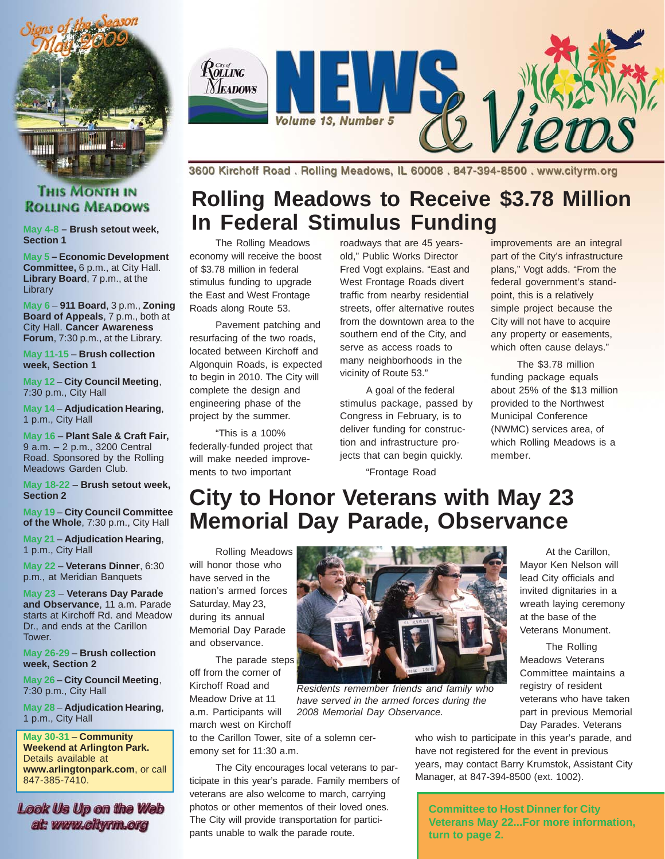

# Rolling **Neadows** Volume 13, Number 5

3600 Kirchoff Road. Rolling Meadows, IL 60008. 847-394-8500. www.cityrm.org

# **Rolling Meadows to Receive \$3.78 Million In Federal Stimulus Funding**

The Rolling Meadows economy will receive the boost of \$3.78 million in federal stimulus funding to upgrade the East and West Frontage Roads along Route 53.

Pavement patching and resurfacing of the two roads, located between Kirchoff and Algonquin Roads, is expected to begin in 2010. The City will complete the design and engineering phase of the project by the summer.

"This is a 100% federally-funded project that will make needed improvements to two important

roadways that are 45 yearsold," Public Works Director Fred Vogt explains. "East and West Frontage Roads divert traffic from nearby residential streets, offer alternative routes from the downtown area to the southern end of the City, and serve as access roads to many neighborhoods in the vicinity of Route 53."

A goal of the federal stimulus package, passed by Congress in February, is to deliver funding for construction and infrastructure projects that can begin quickly.

"Frontage Road

improvements are an integral part of the City's infrastructure plans," Vogt adds. "From the federal government's standpoint, this is a relatively simple project because the City will not have to acquire any property or easements, which often cause delays."

The \$3.78 million funding package equals about 25% of the \$13 million provided to the Northwest Municipal Conference (NWMC) services area, of which Rolling Meadows is a member.

# **City to Honor Veterans with May 23 Memorial Day Parade, Observance**

Rolling Meadows will honor those who have served in the nation's armed forces Saturday, May 23, during its annual Memorial Day Parade and observance.

The parade steps off from the corner of Kirchoff Road and Meadow Drive at 11 a.m. Participants will march west on Kirchoff

to the Carillon Tower, site of a solemn ceremony set for 11:30 a.m.

The City encourages local veterans to participate in this year's parade. Family members of veterans are also welcome to march, carrying photos or other mementos of their loved ones. The City will provide transportation for participants unable to walk the parade route.

At the Carillon, Mayor Ken Nelson will lead City officials and invited dignitaries in a wreath laying ceremony at the base of the Veterans Monument.

The Rolling Meadows Veterans Committee maintains a registry of resident veterans who have taken part in previous Memorial Day Parades. Veterans

who wish to participate in this year's parade, and have not registered for the event in previous years, may contact Barry Krumstok, Assistant City Manager, at 847-394-8500 (ext. 1002).

**Committee to Host Dinner for City Veterans May 22...For more information, turn to page 2.**

#### **THIS MONTH IN ROLLING MEADOWS**

**May 4-8 – Brush setout week, Section 1**

**May 5 – Economic Development Committee,** 6 p.m., at City Hall. **Library Board**, 7 p.m., at the **Library** 

**May 6** – **911 Board**, 3 p.m., **Zoning Board of Appeals**, 7 p.m., both at City Hall. **Cancer Awareness Forum**, 7:30 p.m., at the Library.

**May 11-15** – **Brush collection week, Section 1**

**May 12** – **City Council Meeting**, 7:30 p.m., City Hall

**May 14** – **Adjudication Hearing**, 1 p.m., City Hall

**May 16** – **Plant Sale & Craft Fair,** 9 a.m. – 2 p.m., 3200 Central Road. Sponsored by the Rolling Meadows Garden Club.

**May 18-22** – **Brush setout week, Section 2**

**May 19** – **City Council Committee of the Whole**, 7:30 p.m., City Hall

**May 21** – **Adjudication Hearing**, 1 p.m., City Hall

**May 22** – **Veterans Dinner**, 6:30 p.m., at Meridian Banquets

**May 23** – **Veterans Day Parade and Observance**, 11 a.m. Parade starts at Kirchoff Rd. and Meadow Dr., and ends at the Carillon Tower.

**May 26-29** – **Brush collection week, Section 2**

**May 26** – **City Council Meeting**, 7:30 p.m., City Hall

**May 28** – **Adjudication Hearing**, 1 p.m., City Hall

**May 30-31** – **Community Weekend at Arlington Park.** Details available at **www.arlingtonpark.com**, or call 847-385-7410.

Look Us Up on the Web at: www.citwrm.org



*Residents remember friends and family who have served in the armed forces during the 2008 Memorial Day Observance.*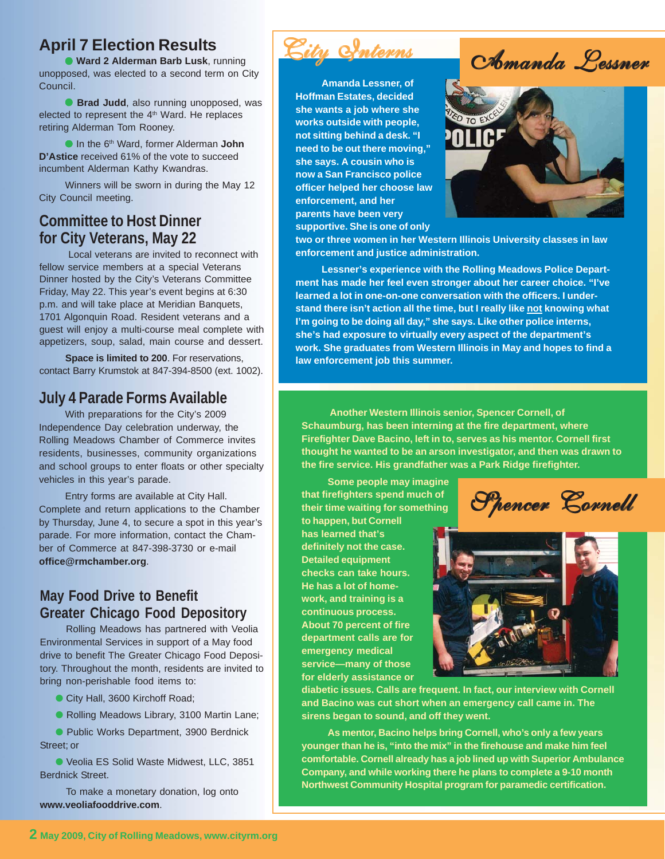### **April 7 Election Results**

● **Ward 2 Alderman Barb Lusk**, running unopposed, was elected to a second term on City Council.

**Brad Judd**, also running unopposed, was elected to represent the 4<sup>th</sup> Ward. He replaces retiring Alderman Tom Rooney.

● In the 6th Ward, former Alderman **John D'Astice** received 61% of the vote to succeed incumbent Alderman Kathy Kwandras.

Winners will be sworn in during the May 12 City Council meeting.

#### **Committee to Host Dinner for City Veterans, May 22**

 Local veterans are invited to reconnect with fellow service members at a special Veterans Dinner hosted by the City's Veterans Committee Friday, May 22. This year's event begins at 6:30 p.m. and will take place at Meridian Banquets, 1701 Algonquin Road. Resident veterans and a guest will enjoy a multi-course meal complete with appetizers, soup, salad, main course and dessert.

**Space is limited to 200**. For reservations, contact Barry Krumstok at 847-394-8500 (ext. 1002).

#### **July 4 Parade Forms Available**

With preparations for the City's 2009 Independence Day celebration underway, the Rolling Meadows Chamber of Commerce invites residents, businesses, community organizations and school groups to enter floats or other specialty vehicles in this year's parade.

Entry forms are available at City Hall. Complete and return applications to the Chamber by Thursday, June 4, to secure a spot in this year's parade. For more information, contact the Chamber of Commerce at 847-398-3730 or e-mail **office@rmchamber.org**.

#### **May Food Drive to Benefit Greater Chicago Food Depository**

Rolling Meadows has partnered with Veolia Environmental Services in support of a May food drive to benefit The Greater Chicago Food Depository. Throughout the month, residents are invited to bring non-perishable food items to:

City Hall, 3600 Kirchoff Road;

● Rolling Meadows Library, 3100 Martin Lane;

● Public Works Department, 3900 Berdnick Street; or

● Veolia ES Solid Waste Midwest, LLC, 3851 Berdnick Street.

To make a monetary donation, log onto **www.veoliafooddrive.com**.



**Amanda Lessner, of Hoffman Estates, decided she wants a job where she works outside with people, not sitting behind a desk. "I need to be out there moving," she says. A cousin who is now a San Francisco police officer helped her choose law enforcement, and her parents have been very supportive. She is one of only**



**two or three women in her Western Illinois University classes in law enforcement and justice administration.**

**Lessner's experience with the Rolling Meadows Police Department has made her feel even stronger about her career choice. "I've learned a lot in one-on-one conversation with the officers. I understand there isn't action all the time, but I really like not knowing what I'm going to be doing all day," she says. Like other police interns, she's had exposure to virtually every aspect of the department's work. She graduates from Western Illinois in May and hopes to find a law enforcement job this summer.**

**Another Western Illinois senior, Spencer Cornell, of Schaumburg, has been interning at the fire department, where Firefighter Dave Bacino, left in to, serves as his mentor. Cornell first thought he wanted to be an arson investigator, and then was drawn to the fire service. His grandfather was a Park Ridge firefighter.**

**Some people may imagine that firefighters spend much of their time waiting for something**

**to happen, but Cornell has learned that's definitely not the case. Detailed equipment checks can take hours. He has a lot of homework, and training is a continuous process. About 70 percent of fire department calls are for emergency medical service—many of those for elderly assistance or**





**diabetic issues. Calls are frequent. In fact, our interview with Cornell and Bacino was cut short when an emergency call came in. The sirens began to sound, and off they went.**

**As mentor, Bacino helps bring Cornell, who's only a few years younger than he is, "into the mix" in the firehouse and make him feel comfortable. Cornell already has a job lined up with Superior Ambulance Company, and while working there he plans to complete a 9-10 month Northwest Community Hospital program for paramedic certification.**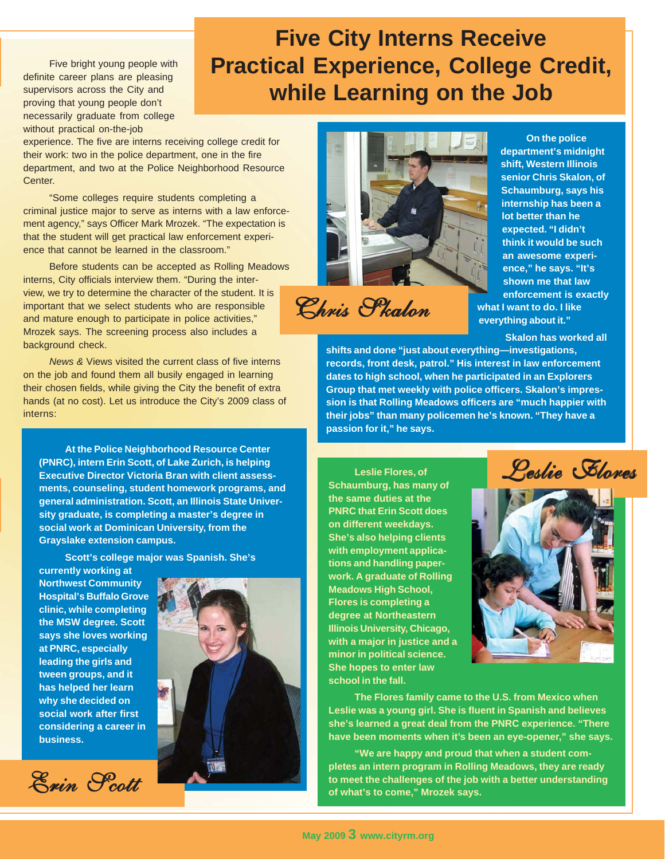Five bright young people with definite career plans are pleasing supervisors across the City and proving that young people don't necessarily graduate from college without practical on-the-job

# **Five City Interns Receive Practical Experience, College Credit, while Learning on the Job**

experience. The five are interns receiving college credit for their work: two in the police department, one in the fire department, and two at the Police Neighborhood Resource Center.

"Some colleges require students completing a criminal justice major to serve as interns with a law enforcement agency," says Officer Mark Mrozek. "The expectation is that the student will get practical law enforcement experience that cannot be learned in the classroom."

Before students can be accepted as Rolling Meadows interns, City officials interview them. "During the interview, we try to determine the character of the student. It is important that we select students who are responsible and mature enough to participate in police activities," Mrozek says. The screening process also includes a background check.

*News &* Views visited the current class of five interns on the job and found them all busily engaged in learning their chosen fields, while giving the City the benefit of extra hands (at no cost). Let us introduce the City's 2009 class of interns:

**At the Police Neighborhood Resource Center (PNRC), intern Erin Scott, of Lake Zurich, is helping Executive Director Victoria Bran with client assessments, counseling, student homework programs, and general administration. Scott, an Illinois State University graduate, is completing a master's degree in social work at Dominican University, from the Grayslake extension campus.**

**Scott's college major was Spanish. She's**

**currently working at Northwest Community Hospital's Buffalo Grove clinic, while completing the MSW degree. Scott says she loves working at PNRC, especially leading the girls and tween groups, and it has helped her learn why she decided on social work after first considering a career in business.**







Chris Skalon

**On the police department's midnight shift, Western Illinois senior Chris Skalon, of Schaumburg, says his internship has been a lot better than he expected. "I didn't think it would be such an awesome experience," he says. "It's shown me that law enforcement is exactly what I want to do. I like everything about it."**

**Skalon has worked all**

**shifts and done "just about everything—investigations, records, front desk, patrol." His interest in law enforcement dates to high school, when he participated in an Explorers Group that met weekly with police officers. Skalon's impression is that Rolling Meadows officers are "much happier with their jobs" than many policemen he's known. "They have a passion for it," he says.**

**Leslie Flores, of Schaumburg, has many of the same duties at the PNRC that Erin Scott does on different weekdays. She's also helping clients with employment applications and handling paperwork. A graduate of Rolling Meadows High School, Flores is completing a degree at Northeastern Illinois University, Chicago, with a major in justice and a minor in political science. She hopes to enter law school in the fall.**





**The Flores family came to the U.S. from Mexico when Leslie was a young girl. She is fluent in Spanish and believes she's learned a great deal from the PNRC experience. "There have been moments when it's been an eye-opener," she says.**

**"We are happy and proud that when a student completes an intern program in Rolling Meadows, they are ready to meet the challenges of the job with a better understanding of what's to come," Mrozek says.**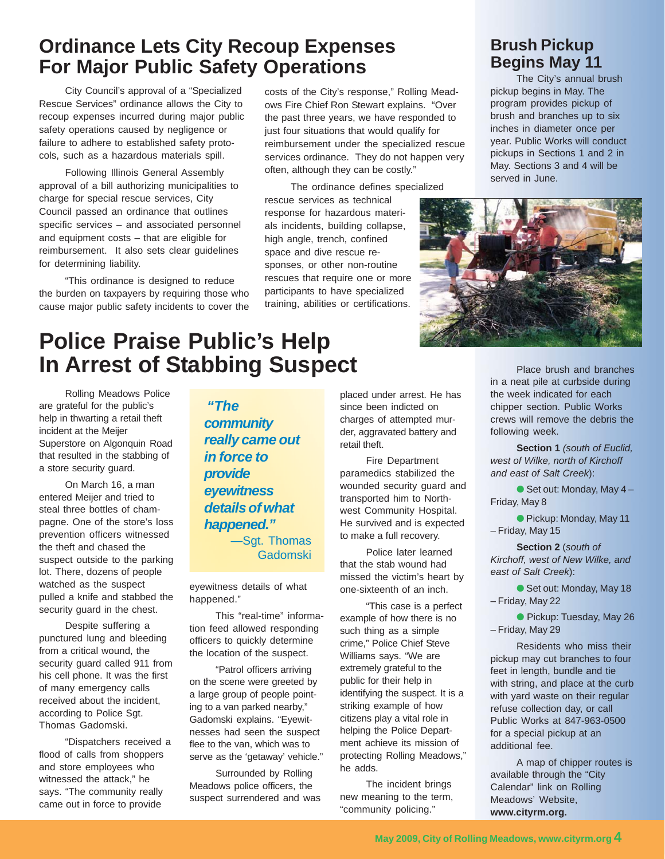# **Ordinance Lets City Recoup Expenses For Major Public Safety Operations**

City Council's approval of a "Specialized Rescue Services" ordinance allows the City to recoup expenses incurred during major public safety operations caused by negligence or failure to adhere to established safety protocols, such as a hazardous materials spill.

Following Illinois General Assembly approval of a bill authorizing municipalities to charge for special rescue services, City Council passed an ordinance that outlines specific services – and associated personnel and equipment costs – that are eligible for reimbursement. It also sets clear guidelines for determining liability.

"This ordinance is designed to reduce the burden on taxpayers by requiring those who cause major public safety incidents to cover the costs of the City's response," Rolling Meadows Fire Chief Ron Stewart explains. "Over the past three years, we have responded to just four situations that would qualify for reimbursement under the specialized rescue services ordinance. They do not happen very often, although they can be costly."

The ordinance defines specialized rescue services as technical response for hazardous materials incidents, building collapse, high angle, trench, confined space and dive rescue responses, or other non-routine rescues that require one or more participants to have specialized training, abilities or certifications.

## **Brush Pickup Begins May 11**

The City's annual brush pickup begins in May. The program provides pickup of brush and branches up to six inches in diameter once per year. Public Works will conduct pickups in Sections 1 and 2 in May. Sections 3 and 4 will be served in June.



# **Police Praise Public's Help In Arrest of Stabbing Suspect**

Rolling Meadows Police are grateful for the public's help in thwarting a retail theft incident at the Meijer Superstore on Algonquin Road that resulted in the stabbing of a store security guard.

On March 16, a man entered Meijer and tried to steal three bottles of champagne. One of the store's loss prevention officers witnessed the theft and chased the suspect outside to the parking lot. There, dozens of people watched as the suspect pulled a knife and stabbed the security guard in the chest.

Despite suffering a punctured lung and bleeding from a critical wound, the security guard called 911 from his cell phone. It was the first of many emergency calls received about the incident, according to Police Sgt. Thomas Gadomski.

"Dispatchers received a flood of calls from shoppers and store employees who witnessed the attack," he says. "The community really came out in force to provide

*"The community really came out in force to provide eyewitness details of what happened."* —Sgt. Thomas Gadomski

eyewitness details of what happened."

This "real-time" information feed allowed responding officers to quickly determine the location of the suspect.

"Patrol officers arriving on the scene were greeted by a large group of people pointing to a van parked nearby," Gadomski explains. "Eyewitnesses had seen the suspect flee to the van, which was to serve as the 'getaway' vehicle."

Surrounded by Rolling Meadows police officers, the suspect surrendered and was placed under arrest. He has since been indicted on charges of attempted murder, aggravated battery and retail theft.

Fire Department paramedics stabilized the wounded security guard and transported him to Northwest Community Hospital. He survived and is expected to make a full recovery.

Police later learned that the stab wound had missed the victim's heart by one-sixteenth of an inch.

"This case is a perfect example of how there is no such thing as a simple crime," Police Chief Steve Williams says. "We are extremely grateful to the public for their help in identifying the suspect. It is a striking example of how citizens play a vital role in helping the Police Department achieve its mission of protecting Rolling Meadows," he adds.

The incident brings new meaning to the term, "community policing."

Place brush and branches in a neat pile at curbside during the week indicated for each chipper section. Public Works crews will remove the debris the following week.

**Section 1** *(south of Euclid, west of Wilke, north of Kirchoff and east of Salt Creek*):

 $\bullet$  Set out: Monday, May 4 – Friday, May 8

● Pickup: Monday, May 11 – Friday, May 15

**Section 2** (*south of Kirchoff, west of New Wilke, and east of Salt Creek*):

● Set out: Monday, May 18 – Friday, May 22

● Pickup: Tuesday, May 26 – Friday, May 29

Residents who miss their pickup may cut branches to four feet in length, bundle and tie with string, and place at the curb with yard waste on their regular refuse collection day, or call Public Works at 847-963-0500 for a special pickup at an additional fee.

A map of chipper routes is available through the "City Calendar" link on Rolling Meadows' Website, **www.cityrm.org.**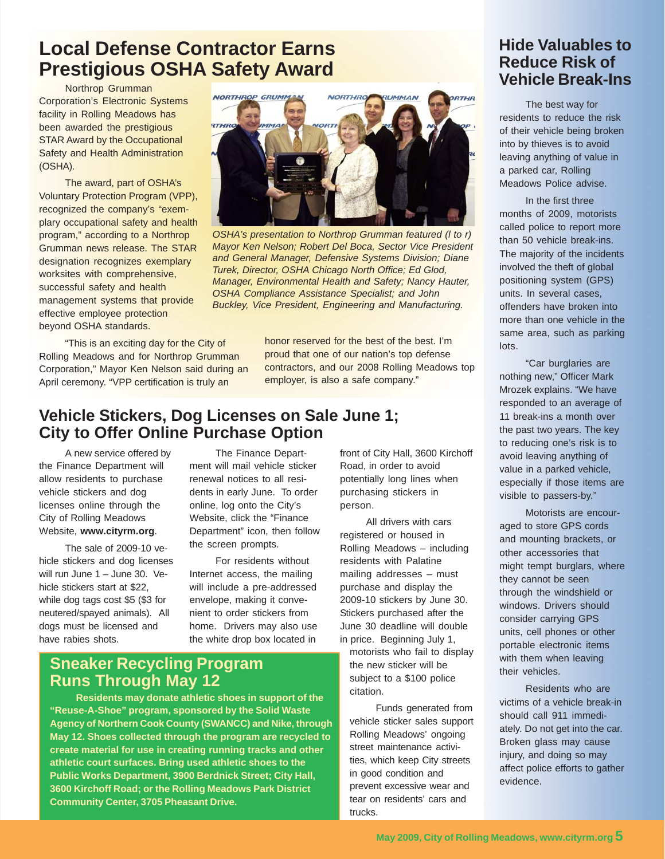# **Local Defense Contractor Earns Prestigious OSHA Safety Award**

Northrop Grumman Corporation's Electronic Systems facility in Rolling Meadows has been awarded the prestigious STAR Award by the Occupational Safety and Health Administration (OSHA).

The award, part of OSHA's Voluntary Protection Program (VPP), recognized the company's "exemplary occupational safety and health program," according to a Northrop Grumman news release. The STAR designation recognizes exemplary worksites with comprehensive, successful safety and health management systems that provide effective employee protection beyond OSHA standards.

"This is an exciting day for the City of Rolling Meadows and for Northrop Grumman Corporation," Mayor Ken Nelson said during an April ceremony. "VPP certification is truly an



*OSHA's presentation to Northrop Grumman featured (l to r) Mayor Ken Nelson; Robert Del Boca, Sector Vice President and General Manager, Defensive Systems Division; Diane Turek, Director, OSHA Chicago North Office; Ed Glod, Manager, Environmental Health and Safety; Nancy Hauter, OSHA Compliance Assistance Specialist; and John Buckley, Vice President, Engineering and Manufacturing.*

honor reserved for the best of the best. I'm proud that one of our nation's top defense contractors, and our 2008 Rolling Meadows top employer, is also a safe company."

### **Vehicle Stickers, Dog Licenses on Sale June 1; City to Offer Online Purchase Option**

A new service offered by the Finance Department will allow residents to purchase vehicle stickers and dog licenses online through the City of Rolling Meadows Website, **www.cityrm.org**.

The sale of 2009-10 vehicle stickers and dog licenses will run June 1 – June 30. Vehicle stickers start at \$22, while dog tags cost \$5 (\$3 for neutered/spayed animals). All dogs must be licensed and have rabies shots.

The Finance Department will mail vehicle sticker renewal notices to all residents in early June. To order online, log onto the City's Website, click the "Finance Department" icon, then follow the screen prompts.

For residents without Internet access, the mailing will include a pre-addressed envelope, making it convenient to order stickers from home. Drivers may also use the white drop box located in

front of City Hall, 3600 Kirchoff Road, in order to avoid potentially long lines when purchasing stickers in person.

All drivers with cars registered or housed in Rolling Meadows – including residents with Palatine mailing addresses – must purchase and display the 2009-10 stickers by June 30. Stickers purchased after the June 30 deadline will double in price. Beginning July 1, motorists who fail to display the new sticker will be subject to a \$100 police

Funds generated from vehicle sticker sales support Rolling Meadows' ongoing street maintenance activities, which keep City streets in good condition and prevent excessive wear and tear on residents' cars and trucks.

citation.

### **Hide Valuables to Reduce Risk of Vehicle Break-Ins**

The best way for residents to reduce the risk of their vehicle being broken into by thieves is to avoid leaving anything of value in a parked car, Rolling Meadows Police advise.

In the first three months of 2009, motorists called police to report more than 50 vehicle break-ins. The majority of the incidents involved the theft of global positioning system (GPS) units. In several cases, offenders have broken into more than one vehicle in the same area, such as parking lots.

"Car burglaries are nothing new," Officer Mark Mrozek explains. "We have responded to an average of 11 break-ins a month over the past two years. The key to reducing one's risk is to avoid leaving anything of value in a parked vehicle, especially if those items are visible to passers-by."

Motorists are encouraged to store GPS cords and mounting brackets, or other accessories that might tempt burglars, where they cannot be seen through the windshield or windows. Drivers should consider carrying GPS units, cell phones or other portable electronic items with them when leaving their vehicles.

Residents who are victims of a vehicle break-in should call 911 immediately. Do not get into the car. Broken glass may cause injury, and doing so may affect police efforts to gather evidence.

#### **Sneaker Recycling Program Runs Through May 12**

**Residents may donate athletic shoes in support of the "Reuse-A-Shoe" program, sponsored by the Solid Waste Agency of Northern Cook County (SWANCC) and Nike, through May 12. Shoes collected through the program are recycled to create material for use in creating running tracks and other athletic court surfaces. Bring used athletic shoes to the Public Works Department, 3900 Berdnick Street; City Hall, 3600 Kirchoff Road; or the Rolling Meadows Park District Community Center, 3705 Pheasant Drive.**